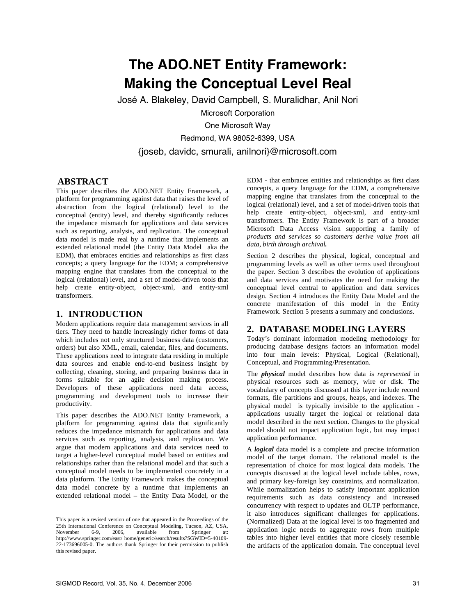# **The ADO.NET Entity Framework: Making the Conceptual Level Real**

José A. Blakeley, David Campbell, S. Muralidhar, Anil Nori

Microsoft Corporation

One Microsoft Way

Redmond, WA 98052-6399, USA

{joseb, davidc, smurali, anilnori}@microsoft.com

## **ABSTRACT**

This paper describes the ADO.NET Entity Framework, a platform for programming against data that raises the level of abstraction from the logical (relational) level to the conceptual (entity) level, and thereby significantly reduces the impedance mismatch for applications and data services such as reporting, analysis, and replication. The conceptual data model is made real by a runtime that implements an extended relational model (the Entity Data Model aka the EDM), that embraces entities and relationships as first class concepts; a query language for the EDM; a comprehensive mapping engine that translates from the conceptual to the logical (relational) level, and a set of model-driven tools that help create entity-object, object-xml, and entity-xml transformers.

## **1. INTRODUCTION**

Modern applications require data management services in all tiers. They need to handle increasingly richer forms of data which includes not only structured business data (customers, orders) but also XML, email, calendar, files, and documents. These applications need to integrate data residing in multiple data sources and enable end-to-end business insight by collecting, cleaning, storing, and preparing business data in forms suitable for an agile decision making process. Developers of these applications need data access, programming and development tools to increase their productivity.

This paper describes the ADO.NET Entity Framework, a platform for programming against data that significantly reduces the impedance mismatch for applications and data services such as reporting, analysis, and replication. We argue that modern applications and data services need to target a higher-level conceptual model based on entities and relationships rather than the relational model and that such a conceptual model needs to be implemented concretely in a data platform. The Entity Framework makes the conceptual data model concrete by a runtime that implements an extended relational model – the Entity Data Model, or the

EDM - that embraces entities and relationships as first class concepts, a query language for the EDM, a comprehensive mapping engine that translates from the conceptual to the logical (relational) level, and a set of model-driven tools that help create entity-object, object-xml, and entity-xml transformers. The Entity Framework is part of a broader Microsoft Data Access vision supporting a family of *products and services so customers derive value from all data, birth through archival.*

Section 2 describes the physical, logical, conceptual and programming levels as well as other terms used throughout the paper. Section 3 describes the evolution of applications and data services and motivates the need for making the conceptual level central to application and data services design. Section 4 introduces the Entity Data Model and the concrete manifestation of this model in the Entity Framework. Section 5 presents a summary and conclusions.

# **2. DATABASE MODELING LAYERS**

Today's dominant information modeling methodology for producing database designs factors an information model into four main levels: Physical, Logical (Relational), Conceptual, and Programming/Presentation.

The *physical* model describes how data is *represented* in physical resources such as memory, wire or disk. The vocabulary of concepts discussed at this layer include record formats, file partitions and groups, heaps, and indexes. The physical model is typically invisible to the application applications usually target the logical or relational data model described in the next section. Changes to the physical model should not impact application logic, but may impact application performance.

A *logical* data model is a complete and precise information model of the target domain. The relational model is the representation of choice for most logical data models. The concepts discussed at the logical level include tables, rows, and primary key-foreign key constraints, and normalization. While normalization helps to satisfy important application requirements such as data consistency and increased concurrency with respect to updates and OLTP performance, it also introduces significant challenges for applications. (Normalized) Data at the logical level is too fragmented and application logic needs to aggregate rows from multiple tables into higher level entities that more closely resemble the artifacts of the application domain. The conceptual level

This paper is a revised version of one that appeared in the Proceedings of the 25th International Conference on Conceptual Modeling, Tucson, AZ, USA, November 6-9, 2006, available from Springer at: November 6-9, 2006, available from Springer at: http://www.springer.com/east/ home/generic/search/results?SGWID=5-40109- 22-173696005-0. The authors thank Springer for their permission to publish this revised paper.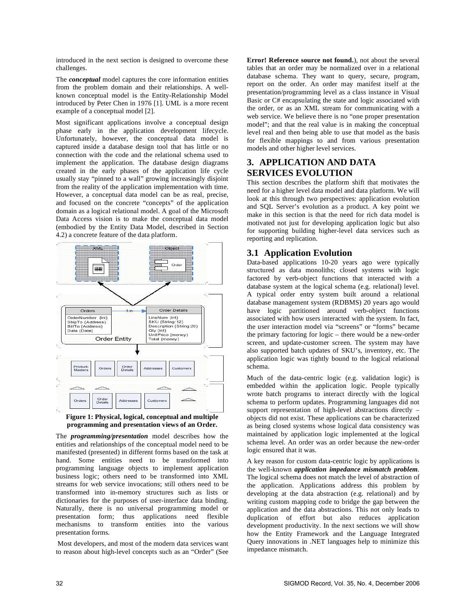introduced in the next section is designed to overcome these challenges.

The *conceptual* model captures the core information entities from the problem domain and their relationships. A wellknown conceptual model is the Entity-Relationship Model introduced by Peter Chen in 1976 [1]. UML is a more recent example of a conceptual model [2].

Most significant applications involve a conceptual design phase early in the application development lifecycle. Unfortunately, however, the conceptual data model is captured inside a database design tool that has little or no connection with the code and the relational schema used to implement the application. The database design diagrams created in the early phases of the application life cycle usually stay "pinned to a wall" growing increasingly disjoint from the reality of the application implementation with time. However, a conceptual data model can be as real, precise, and focused on the concrete "concepts" of the application domain as a logical relational model. A goal of the Microsoft Data Access vision is to make the conceptual data model (embodied by the Entity Data Model, described in Section 4.2) a concrete feature of the data platform.





The *programming/presentation* model describes how the entities and relationships of the conceptual model need to be manifested (presented) in different forms based on the task at hand. Some entities need to be transformed into programming language objects to implement application business logic; others need to be transformed into XML streams for web service invocations; still others need to be transformed into in-memory structures such as lists or dictionaries for the purposes of user-interface data binding. Naturally, there is no universal programming model or presentation form; thus applications need flexible mechanisms to transform entities into the various presentation forms.

 Most developers, and most of the modern data services want to reason about high-level concepts such as an "Order" (See

**Error! Reference source not found.**), not about the several tables that an order may be normalized over in a relational database schema. They want to query, secure, program, report on the order. An order may manifest itself at the presentation/programming level as a class instance in Visual Basic or C# encapsulating the state and logic associated with the order, or as an XML stream for communicating with a web service. We believe there is no "one proper presentation model"; and that the real value is in making the conceptual level real and then being able to use that model as the basis for flexible mappings to and from various presentation models and other higher level services.

# **3. APPLICATION AND DATA SERVICES EVOLUTION**

This section describes the platform shift that motivates the need for a higher level data model and data platform. We will look at this through two perspectives: application evolution and SQL Server's evolution as a product. A key point we make in this section is that the need for rich data model is motivated not just for developing application logic but also for supporting building higher-level data services such as reporting and replication.

# **3.1 Application Evolution**

Data-based applications 10-20 years ago were typically structured as data monoliths; closed systems with logic factored by verb-object functions that interacted with a database system at the logical schema (e.g. relational) level. A typical order entry system built around a relational database management system (RDBMS) 20 years ago would have logic partitioned around verb-object functions associated with how users interacted with the system. In fact, the user interaction model via "screens" or "forms" became the primary factoring for logic – there would be a new-order screen, and update-customer screen. The system may have also supported batch updates of SKU's, inventory, etc. The application logic was tightly bound to the logical relational schema.

Much of the data-centric logic (e.g. validation logic) is embedded within the application logic. People typically wrote batch programs to interact directly with the logical schema to perform updates. Programming languages did not support representation of high-level abstractions directly – objects did not exist. These applications can be characterized as being closed systems whose logical data consistency was maintained by application logic implemented at the logical schema level. An order was an order because the new-order logic ensured that it was.

A key reason for custom data-centric logic by applications is the well-known *application impedance mismatch problem*. The logical schema does not match the level of abstraction of the application. Applications address this problem by developing at the data abstraction (e.g. relational) and by writing custom mapping code to bridge the gap between the application and the data abstractions. This not only leads to duplication of effort but also reduces application development productivity. In the next sections we will show how the Entity Framework and the Language Integrated Query innovations in .NET languages help to minimize this impedance mismatch.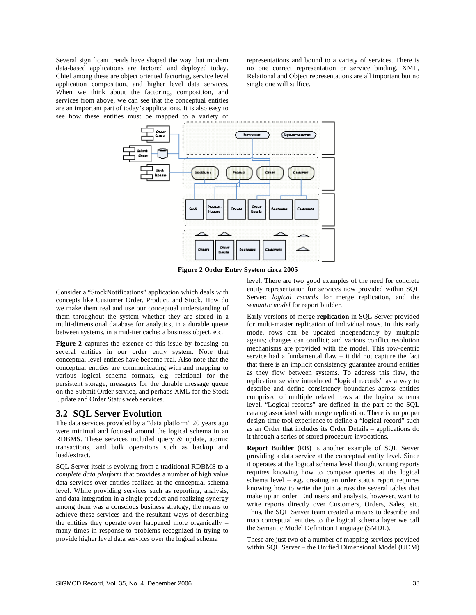Several significant trends have shaped the way that modern data-based applications are factored and deployed today. Chief among these are object oriented factoring, service level application composition, and higher level data services. When we think about the factoring, composition, and services from above, we can see that the conceptual entities are an important part of today's applications. It is also easy to see how these entities must be mapped to a variety of representations and bound to a variety of services. There is no one correct representation or service binding. XML, Relational and Object representations are all important but no single one will suffice.



**Figure 2 Order Entry System circa 2005**

Consider a "StockNotifications" application which deals with concepts like Customer Order, Product, and Stock. How do we make them real and use our conceptual understanding of them throughout the system whether they are stored in a multi-dimensional database for analytics, in a durable queue between systems, in a mid-tier cache; a business object, etc.

**Figure 2** captures the essence of this issue by focusing on several entities in our order entry system. Note that conceptual level entities have become real. Also note that the conceptual entities are communicating with and mapping to various logical schema formats, e.g. relational for the persistent storage, messages for the durable message queue on the Submit Order service, and perhaps XML for the Stock Update and Order Status web services.

## **3.2 SQL Server Evolution**

The data services provided by a "data platform" 20 years ago were minimal and focused around the logical schema in an RDBMS. These services included query & update, atomic transactions, and bulk operations such as backup and load/extract.

SQL Server itself is evolving from a traditional RDBMS to a *complete data platform* that provides a number of high value data services over entities realized at the conceptual schema level. While providing services such as reporting, analysis, and data integration in a single product and realizing synergy among them was a conscious business strategy, the means to achieve these services and the resultant ways of describing the entities they operate over happened more organically – many times in response to problems recognized in trying to provide higher level data services over the logical schema

level. There are two good examples of the need for concrete entity representation for services now provided within SQL Server: *logical records* for merge replication, and the *semantic model* for report builder.

Early versions of merge **replication** in SQL Server provided for multi-master replication of individual rows. In this early mode, rows can be updated independently by multiple agents; changes can conflict; and various conflict resolution mechanisms are provided with the model. This row-centric service had a fundamental flaw – it did not capture the fact that there is an implicit consistency guarantee around entities as they flow between systems. To address this flaw, the replication service introduced "logical records" as a way to describe and define consistency boundaries across entities comprised of multiple related rows at the logical schema level. "Logical records" are defined in the part of the SQL catalog associated with merge replication. There is no proper design-time tool experience to define a "logical record" such as an Order that includes its Order Details – applications do it through a series of stored procedure invocations.

**Report Builder** (RB) is another example of SQL Server providing a data service at the conceptual entity level. Since it operates at the logical schema level though, writing reports requires knowing how to compose queries at the logical schema level – e.g. creating an order status report requires knowing how to write the join across the several tables that make up an order. End users and analysts, however, want to write reports directly over Customers, Orders, Sales, etc. Thus, the SQL Server team created a means to describe and map conceptual entities to the logical schema layer we call the Semantic Model Definition Language (SMDL).

These are just two of a number of mapping services provided within SQL Server – the Unified Dimensional Model (UDM)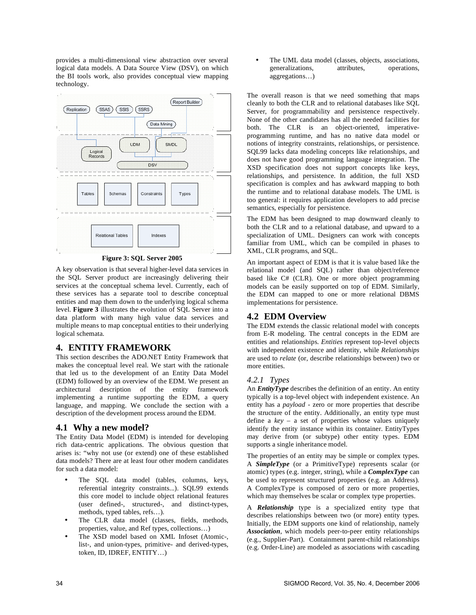provides a multi-dimensional view abstraction over several logical data models. A Data Source View (DSV), on which the BI tools work, also provides conceptual view mapping technology.



**Figure 3: SQL Server 2005**

A key observation is that several higher-level data services in the SQL Server product are increasingly delivering their services at the conceptual schema level. Currently, each of these services has a separate tool to describe conceptual entities and map them down to the underlying logical schema level. **Figure 3** illustrates the evolution of SQL Server into a data platform with many high value data services and multiple means to map conceptual entities to their underlying logical schemata.

# **4. ENTITY FRAMEWORK**

This section describes the ADO.NET Entity Framework that makes the conceptual level real. We start with the rationale that led us to the development of an Entity Data Model (EDM) followed by an overview of the EDM. We present an architectural description of the entity framework implementing a runtime supporting the EDM, a query language, and mapping. We conclude the section with a description of the development process around the EDM.

# **4.1 Why a new model?**

The Entity Data Model (EDM) is intended for developing rich data-centric applications. The obvious question that arises is: "why not use (or extend) one of these established data models? There are at least four other modern candidates for such a data model:

- The SQL data model (tables, columns, keys, referential integrity constraints...). SQL99 extends this core model to include object relational features (user defined-, structured-, and distinct-types, methods, typed tables, refs…).
- The CLR data model (classes, fields, methods, properties, value, and Ref types, collections…)
- The XSD model based on XML Infoset (Atomic-, list-, and union-types, primitive- and derived-types, token, ID, IDREF, ENTITY…)

The UML data model (classes, objects, associations, generalizations, attributes, operations, generalizations, aggregations…)

The overall reason is that we need something that maps cleanly to both the CLR and to relational databases like SQL Server, for programmability and persistence respectively. None of the other candidates has all the needed facilities for both. The CLR is an object-oriented, imperativeprogramming runtime, and has no native data model or notions of integrity constraints, relationships, or persistence. SQL99 lacks data modeling concepts like relationships, and does not have good programming language integration. The XSD specification does not support concepts like keys, relationships, and persistence. In addition, the full XSD specification is complex and has awkward mapping to both the runtime and to relational database models. The UML is too general: it requires application developers to add precise semantics, especially for persistence.

The EDM has been designed to map downward cleanly to both the CLR and to a relational database, and upward to a specialization of UML. Designers can work with concepts familiar from UML, which can be compiled in phases to XML, CLR programs, and SQL.

An important aspect of EDM is that it is value based like the relational model (and SQL) rather than object/reference based like C# (CLR). One or more object programming models can be easily supported on top of EDM. Similarly, the EDM can mapped to one or more relational DBMS implementations for persistence.

# **4.2 EDM Overview**

The EDM extends the classic relational model with concepts from E-R modeling. The central concepts in the EDM are entities and relationships. *Entities* represent top-level objects with independent existence and identity, while *Relationships* are used to *relate* (or, describe relationships between) two or more entities.

## *4.2.1 Types*

An *EntityType* describes the definition of an entity. An entity typically is a top-level object with independent existence. An entity has a *payload* - zero or more properties that describe the structure of the entity. Additionally, an entity type must define a *key* – a set of properties whose values uniquely identify the entity instance within its container. EntityTypes may derive from (or subtype) other entity types. EDM supports a single inheritance model.

The properties of an entity may be simple or complex types. A *SimpleType* (or a PrimitiveType) represents scalar (or atomic) types (e.g. integer, string), while a *ComplexType* can be used to represent structured properties (e.g. an Address). A ComplexType is composed of zero or more properties, which may themselves be scalar or complex type properties.

A *Relationship* type is a specialized entity type that describes relationships between two (or more) entity types. Initially, the EDM supports one kind of relationship, namely *Association*, which models peer-to-peer entity relationships (e.g., Supplier-Part). Containment parent-child relationships (e.g. Order-Line) are modeled as associations with cascading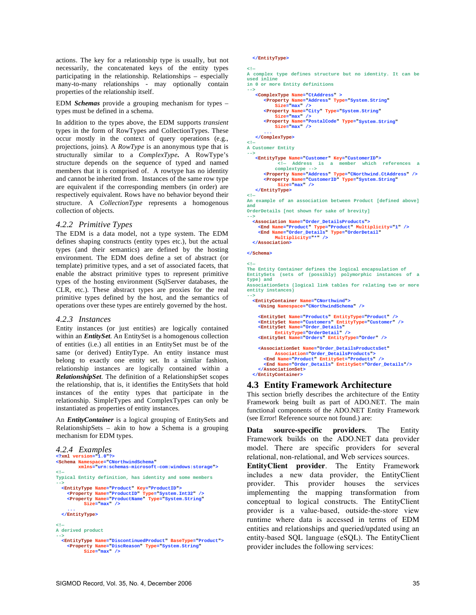actions. The key for a relationship type is usually, but not necessarily, the concatenated keys of the entity types participating in the relationship. Relationships – especially many-to-many relationships - may optionally contain properties of the relationship itself.

EDM *Schemas* provide a grouping mechanism for types – types must be defined in a schema.

In addition to the types above, the EDM supports *transient* types in the form of RowTypes and CollectionTypes. These occur mostly in the context of query operations (e.g., projections, joins). A *RowType* is an anonymous type that is structurally similar to a *ComplexType***.** A RowType's structure depends on the sequence of typed and named members that it is comprised of. A rowtype has no identity and cannot be inherited from. Instances of the same row type are equivalent if the corresponding members (in order) are respectively equivalent. Rows have no behavior beyond their structure. A *CollectionType* represents a homogenous collection of objects.

#### *4.2.2 Primitive Types*

The EDM is a data model, not a type system. The EDM defines shaping constructs (entity types etc.), but the actual types (and their semantics) are defined by the hosting environment. The EDM does define a set of abstract (or template) primitive types, and a set of associated facets, that enable the abstract primitive types to represent primitive types of the hosting environment (SqlServer databases, the CLR, etc.). These abstract types are proxies for the real primitive types defined by the host, and the semantics of operations over these types are entirely governed by the host.

#### *4.2.3 Instances*

Entity instances (or just entities) are logically contained within an *EntitySet*. An EntitySet is a homogenous collection of entities (i.e.) all entities in an EntitySet must be of the same (or derived) EntityType. An entity instance must belong to exactly one entity set. In a similar fashion, relationship instances are logically contained within a *RelationshipSet*. The definition of a RelationshipSet scopes the relationship, that is, it identifies the EntitySets that hold instances of the entity types that participate in the relationship. SimpleTypes and ComplexTypes can only be instantiated as properties of entity instances.

An *EntityContainer* is a logical grouping of EntitySets and RelationshipSets – akin to how a Schema is a grouping mechanism for EDM types.

```
4.2.4 Examples <?xml version="1.0"?>
```

```
<Schema Namespace="CNorthwindSchema"
          xmlns="urn:schemas-microsoft-com:windows:storage"> 
<!— 
Typical Entity definition, has identity and some members 
--> 
 <EntityType Name="Product" Key="ProductID"> 
 <Property Name="ProductID" Type="System.Int32" /> 
 <Property Name="ProductName" Type="System.String" 
           Size="max" /> 
 ... 
 </EntityType> 
<!— 
A derived product 
--> 
   <EntityType Name="DiscontinuedProduct" BaseType="Product"> 
     <Property Name="DiscReason" Type="System.String" 
           Size="max" />
```
#### **</EntityType>**

 $\leq$  **! A complex type defines structure but no identity. It can be used inline in 0 or more Entity definitions --> <ComplexType Name="CtAddress" > <Property Name="Address" Type="System.String" Size="max" /> <Property Name="City" Type="System.String" Size="max" /> <Property Name="PostalCode" Type="System.String" Size="max" /> ... </ComplexType> <!— A Customer Entity --> <EntityType Name="Customer" Key="CustomerID">**  --<br> **ci-** Address is a member which references **complextype --> <Property Name="Address" Type="CNorthwind.CtAddress" /> <Property Name="CustomerID" Type="System.String" Size="max" /> </EntityType> <!—** 

**An example of an association between Product [defined above] and** 

**OrderDetails [not shown for sake of brevity]** 

```
--> 
 <Association Name="Order_DetailsProducts"> 
    <End Name="Product" Type="Product" Multiplicity="1" /> 
    <End Name="Order_Details" Type="OrderDetail" 
          Multiplicity="*" /> 
  </Association>
```
 **</Schema>** 

```
<!—
```
**The Entity Container defines the logical encapsulation of EntitySets (sets of (possibly) polymorphic instances of a type) and AssociationSets (logical link tables for relating two or more entity instances) --> <EntityContainer Name="CNorthwind"> <Using Namespace="CNorthwindSchema" />** 

```
 <EntitySet Name="Products" EntityType="Product" /> 
 <EntitySet Name="Customers" EntityType="Customer" /> 
 <EntitySet Name="Order_Details" 
           EntityType="OrderDetail" /> 
     <EntitySet Name="Orders" EntityType="Order" /> 
     <AssociationSet Name="Order_DetailsProductsSet" 
Association="Order_DetailsProducts"> 
 <End Name="Product" EntitySet="Products" /> 
       <End Name="Order_Details" EntitySet="Order_Details"/> 
     </AssociationSet> 
   </EntityContainer>
```
## **4.3 Entity Framework Architecture**

This section briefly describes the architecture of the Entity Framework being built as part of ADO.NET. The main functional components of the ADO.NET Entity Framework (see Error! Reference source not found.) are:

**Data source-specific providers**. The Entity Framework builds on the ADO.NET data provider model. There are specific providers for several relational, non-relational, and Web services sources.

**EntityClient provider**. The Entity Framework includes a new data provider, the EntityClient provider. This provider houses the services implementing the mapping transformation from conceptual to logical constructs. The EntityClient provider is a value-based, outside-the-store view runtime where data is accessed in terms of EDM entities and relationships and queried/updated using an entity-based SQL language (eSQL). The EntityClient provider includes the following services: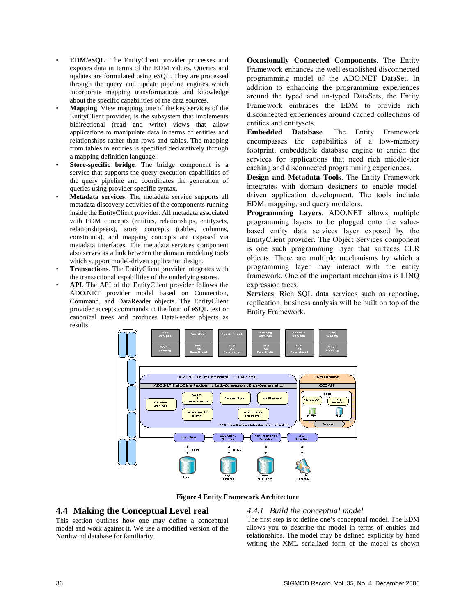- **EDM/eSQL**. The EntityClient provider processes and exposes data in terms of the EDM values. Queries and updates are formulated using eSQL. They are processed through the query and update pipeline engines which incorporate mapping transformations and knowledge about the specific capabilities of the data sources.
- **Mapping**. View mapping, one of the key services of the EntityClient provider, is the subsystem that implements bidirectional (read and write) views that allow applications to manipulate data in terms of entities and relationships rather than rows and tables. The mapping from tables to entities is specified declaratively through a mapping definition language.
- Store-specific bridge. The bridge component is a service that supports the query execution capabilities of the query pipeline and coordinates the generation of queries using provider specific syntax.
- **Metadata services**. The metadata service supports all metadata discovery activities of the components running inside the EntityClient provider. All metadata associated with EDM concepts (entities, relationships, entitysets, relationshipsets), store concepts (tables, columns, constraints), and mapping concepts are exposed via metadata interfaces. The metadata services component also serves as a link between the domain modeling tools which support model-driven application design.
- **Transactions**. The EntityClient provider integrates with the transactional capabilities of the underlying stores.
- **API**. The API of the EntityClient provider follows the ADO.NET provider model based on Connection, Command, and DataReader objects. The EntityClient provider accepts commands in the form of eSQL text or canonical trees and produces DataReader objects as results.

**Occasionally Connected Components**. The Entity Framework enhances the well established disconnected programming model of the ADO.NET DataSet. In addition to enhancing the programming experiences around the typed and un-typed DataSets, the Entity Framework embraces the EDM to provide rich disconnected experiences around cached collections of entities and entitysets.<br>Embedded Database.

The Entity Framework encompasses the capabilities of a low-memory footprint, embeddable database engine to enrich the services for applications that need rich middle-tier caching and disconnected programming experiences.

**Design and Metadata Tools**. The Entity Framework integrates with domain designers to enable modeldriven application development. The tools include EDM, mapping, and query modelers.

**Programming Layers**. ADO.NET allows multiple programming layers to be plugged onto the valuebased entity data services layer exposed by the EntityClient provider. The Object Services component is one such programming layer that surfaces CLR objects. There are multiple mechanisms by which a programming layer may interact with the entity framework. One of the important mechanisms is LINQ expression trees.

**Services**. Rich SQL data services such as reporting, replication, business analysis will be built on top of the Entity Framework.



**Figure 4 Entity Framework Architecture** 

## **4.4 Making the Conceptual Level real**

This section outlines how one may define a conceptual model and work against it. We use a modified version of the Northwind database for familiarity.

#### *4.4.1 Build the conceptual model*

The first step is to define one's conceptual model. The EDM allows you to describe the model in terms of entities and relationships. The model may be defined explicitly by hand writing the XML serialized form of the model as shown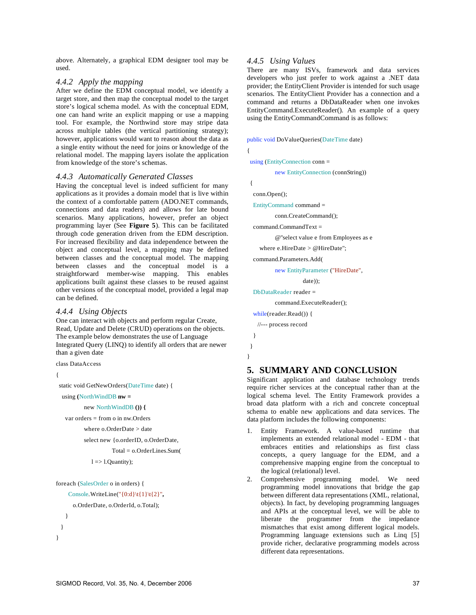above. Alternately, a graphical EDM designer tool may be used.

#### *4.4.2 Apply the mapping*

After we define the EDM conceptual model, we identify a target store, and then map the conceptual model to the target store's logical schema model. As with the conceptual EDM, one can hand write an explicit mapping or use a mapping tool. For example, the Northwind store may stripe data across multiple tables (the vertical partitioning strategy); however, applications would want to reason about the data as a single entity without the need for joins or knowledge of the relational model. The mapping layers isolate the application from knowledge of the store's schemas.

## *4.4.3 Automatically Generated Classes*

Having the conceptual level is indeed sufficient for many applications as it provides a domain model that is live within the context of a comfortable pattern (ADO.NET commands, connections and data readers) and allows for late bound scenarios. Many applications, however, prefer an object programming layer (See **Figure 5**). This can be facilitated through code generation driven from the EDM description. For increased flexibility and data independence between the object and conceptual level, a mapping may be defined between classes and the conceptual model. The mapping between classes and the conceptual model is a straightforward member-wise mapping. This enables applications built against these classes to be reused against other versions of the conceptual model, provided a legal map can be defined.

### *4.4.4 Using Objects*

One can interact with objects and perform regular Create, Read, Update and Delete (CRUD) operations on the objects. The example below demonstrates the use of Language Integrated Query (LINQ) to identify all orders that are newer than a given date

class DataAccess

```
{
```
static void GetNewOrders(DateTime date) {

using **(**NorthWindDB **nw =** 

new NorthWindDB **()) {**

var orders = from o in nw.Orders

```
 where o.OrderDate > date
```
select new {o.orderID, o.OrderDate,

Total = o.OrderLines.Sum(

 $l$  =>  $l$ . Quantity);

```
foreach (SalesOrder o in orders) {
```

```
 Console.WriteLine("{0:d}\t{1}\t{2}",
```

```
 o.OrderDate, o.OrderId, o.Total);
```

```
 } 
}
```
}

```
4.4.5 Using Values
```
There are many ISVs, framework and data services developers who just prefer to work against a .NET data provider; the EntityClient Provider is intended for such usage scenarios. The EntityClient Provider has a connection and a command and returns a DbDataReader when one invokes EntityCommand.ExecuteReader(). An example of a query using the EntityCommandCommand is as follows:

public void DoValueQueries(DateTime date)

```
{
```
using (EntityConnection conn =

new EntityConnection (connString))

{

conn.Open();

EntityCommand command =

conn.CreateCommand();

command.CommandText =

@"select value e from Employees as e

where e.HireDate > @HireDate";

command.Parameters.Add(

new EntityParameter ("HireDate",

```
date));
```

```
 DbDataReader reader =
```
command.ExecuteReader();

```
 while(reader.Read()) {
```
//--- process record

```
 } 
   } 
}
```
## **5. SUMMARY AND CONCLUSION**

Significant application and database technology trends require richer services at the conceptual rather than at the logical schema level. The Entity Framework provides a broad data platform with a rich and concrete conceptual schema to enable new applications and data services. The data platform includes the following components:

- 1. Entity Framework. A value-based runtime that implements an extended relational model - EDM - that embraces entities and relationships as first class concepts, a query language for the EDM, and a comprehensive mapping engine from the conceptual to the logical (relational) level.
- 2. Comprehensive programming model. We need programming model innovations that bridge the gap between different data representations (XML, relational, objects). In fact, by developing programming languages and APIs at the conceptual level, we will be able to liberate the programmer from the impedance mismatches that exist among different logical models. Programming language extensions such as Linq [5] provide richer, declarative programming models across different data representations.